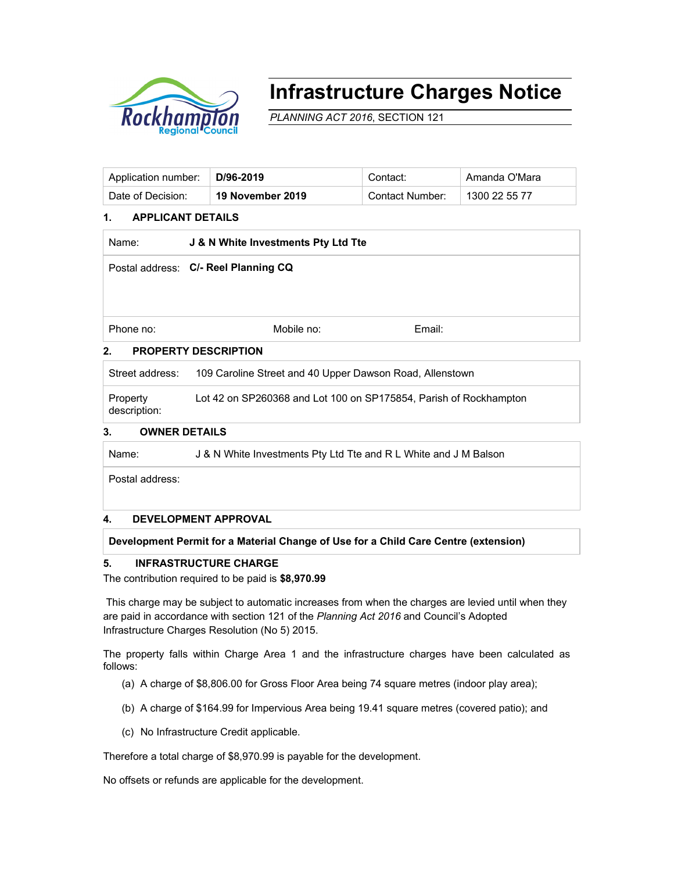

# **Infrastructure Charges Notice**

*PLANNING ACT 2016*, SECTION 121

| Application number: | D/96-2019        | Contact:        | ˈ Amanda O'Mara |
|---------------------|------------------|-----------------|-----------------|
| Date of Decision:   | 19 November 2019 | Contact Number: | 1300 22 55 77   |

## **1. APPLICANT DETAILS**

| Name:                            | J & N White Investments Pty Ltd Tte  |        |  |  |  |
|----------------------------------|--------------------------------------|--------|--|--|--|
|                                  | Postal address: C/- Reel Planning CQ |        |  |  |  |
|                                  |                                      |        |  |  |  |
|                                  |                                      |        |  |  |  |
| Phone no:                        | Mobile no:                           | Email: |  |  |  |
| ◠<br><b>DOODEDTV DECODIDTION</b> |                                      |        |  |  |  |

## **2. PROPERTY DESCRIPTION**

| Street address:          | 109 Caroline Street and 40 Upper Dawson Road, Allenstown          |
|--------------------------|-------------------------------------------------------------------|
| Property<br>description: | Lot 42 on SP260368 and Lot 100 on SP175854, Parish of Rockhampton |

## **3. OWNER DETAILS**

Name: **J & N** White Investments Pty Ltd Tte and R L White and J M Balson

Postal address:

#### **4. DEVELOPMENT APPROVAL**

## **Development Permit for a Material Change of Use for a Child Care Centre (extension)**

## **5. INFRASTRUCTURE CHARGE**

The contribution required to be paid is **\$8,970.99**

 This charge may be subject to automatic increases from when the charges are levied until when they are paid in accordance with section 121 of the *Planning Act 2016* and Council's Adopted Infrastructure Charges Resolution (No 5) 2015.

The property falls within Charge Area 1 and the infrastructure charges have been calculated as follows:

- (a) A charge of \$8,806.00 for Gross Floor Area being 74 square metres (indoor play area);
- (b) A charge of \$164.99 for Impervious Area being 19.41 square metres (covered patio); and
- (c) No Infrastructure Credit applicable.

Therefore a total charge of \$8,970.99 is payable for the development.

No offsets or refunds are applicable for the development.